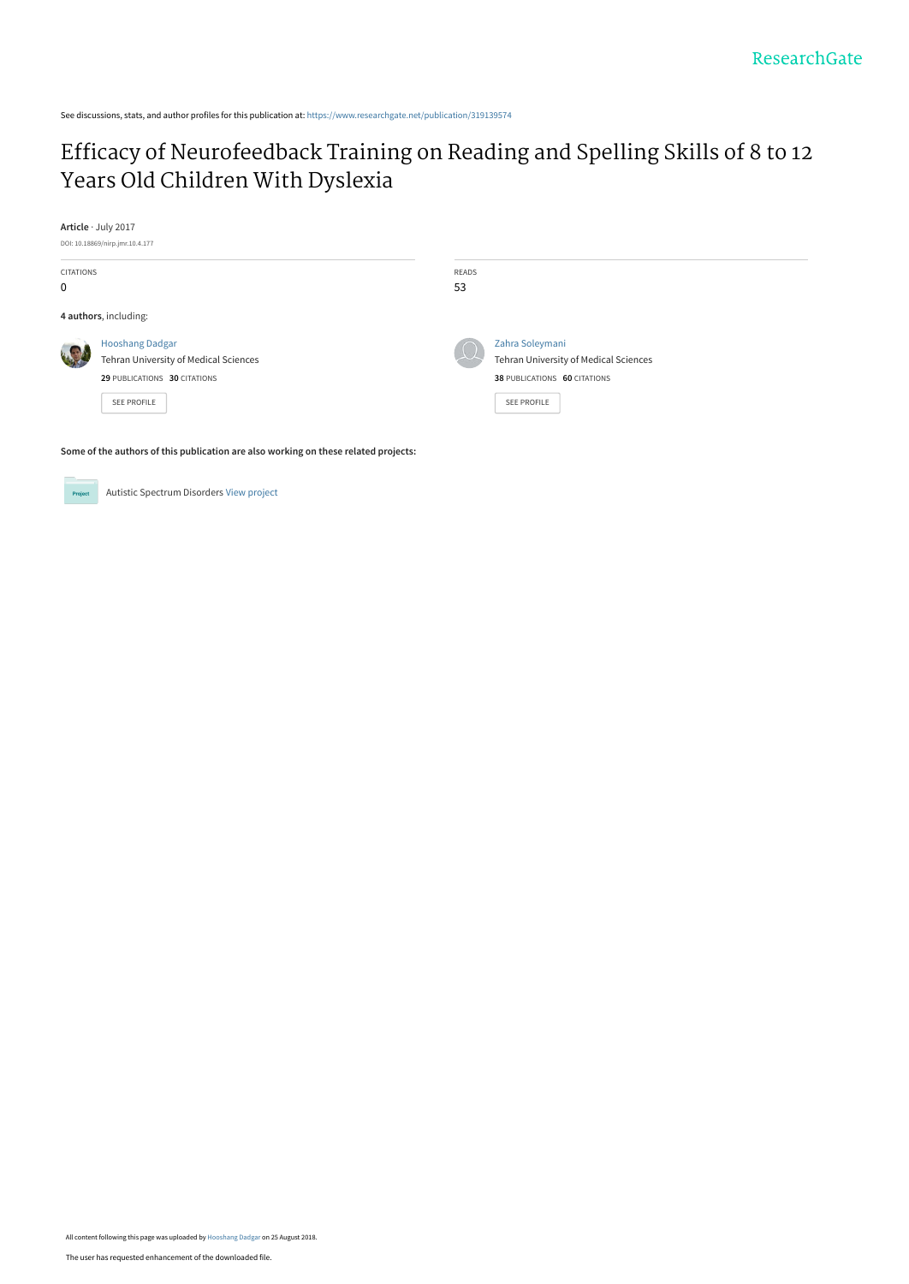See discussions, stats, and author profiles for this publication at: [https://www.researchgate.net/publication/319139574](https://www.researchgate.net/publication/319139574_Efficacy_of_Neurofeedback_Training_on_Reading_and_Spelling_Skills_of_8_to_12_Years_Old_Children_With_Dyslexia?enrichId=rgreq-230bbe4727d8a450f247390a54914549-XXX&enrichSource=Y292ZXJQYWdlOzMxOTEzOTU3NDtBUzo2NjMzOTI3ODg0MTQ0NjRAMTUzNTE3NjU3NDc2MQ%3D%3D&el=1_x_2&_esc=publicationCoverPdf)

# [Efficacy of Neurofeedback Training on Reading and Spelling Skills of 8 to 12](https://www.researchgate.net/publication/319139574_Efficacy_of_Neurofeedback_Training_on_Reading_and_Spelling_Skills_of_8_to_12_Years_Old_Children_With_Dyslexia?enrichId=rgreq-230bbe4727d8a450f247390a54914549-XXX&enrichSource=Y292ZXJQYWdlOzMxOTEzOTU3NDtBUzo2NjMzOTI3ODg0MTQ0NjRAMTUzNTE3NjU3NDc2MQ%3D%3D&el=1_x_3&_esc=publicationCoverPdf) Years Old Children With Dyslexia

**Article** · July 2017



**Some of the authors of this publication are also working on these related projects:**



Autistic Spectrum Disorders [View project](https://www.researchgate.net/project/Autistic-Spectrum-Disorders?enrichId=rgreq-230bbe4727d8a450f247390a54914549-XXX&enrichSource=Y292ZXJQYWdlOzMxOTEzOTU3NDtBUzo2NjMzOTI3ODg0MTQ0NjRAMTUzNTE3NjU3NDc2MQ%3D%3D&el=1_x_9&_esc=publicationCoverPdf)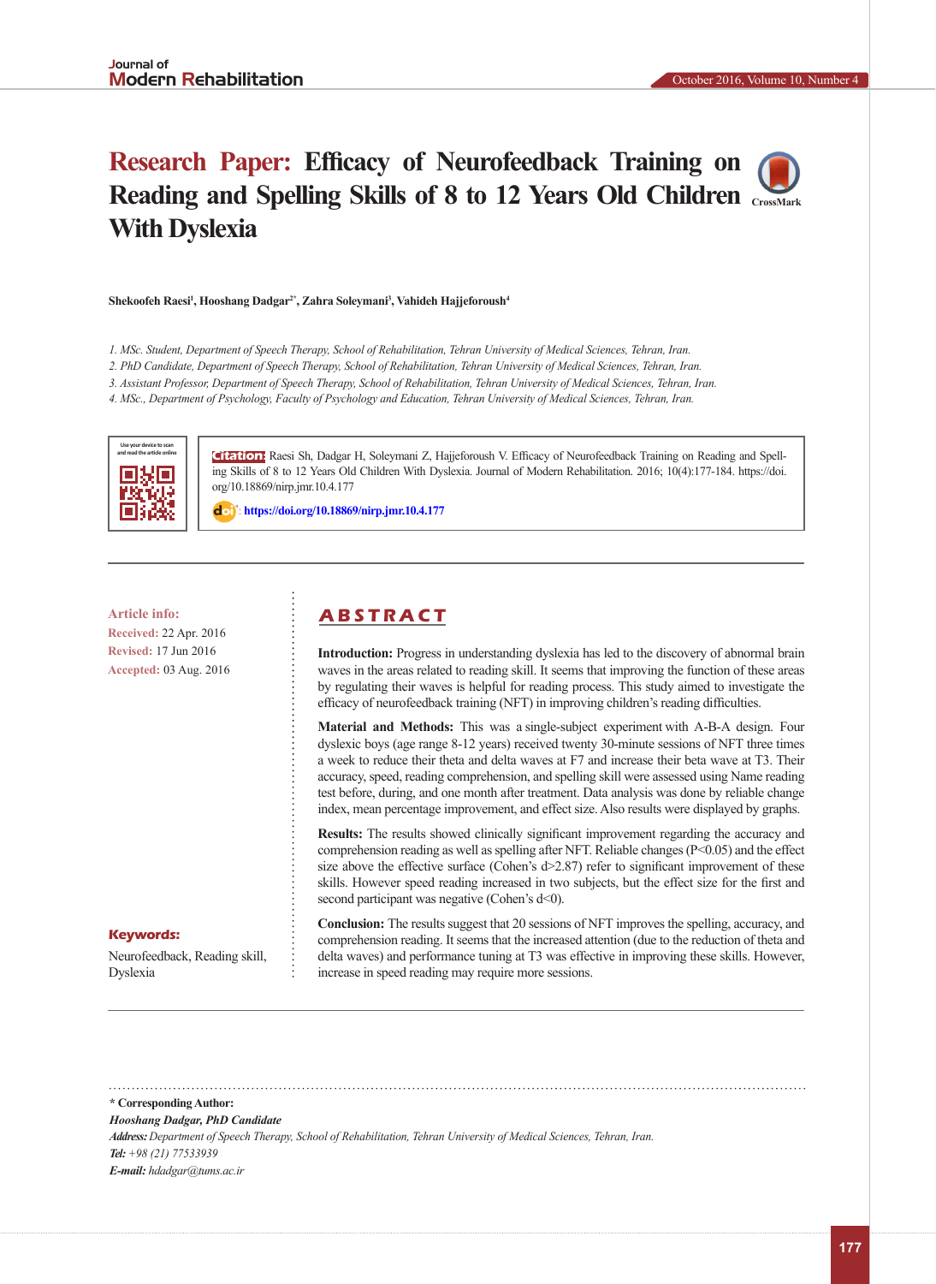# **Research Paper: Efficacy of Neurofeedback Training on Reading and Spelling Skills of 8 to 12 Years Old Children [CrossMark](https://crossmark.crossref.org/dialog/?doi= 10.18869/nirp.jmr.10.4.177) With Dyslexia**

#### **Shekoofeh Raesi1 , Hooshang Dadgar2\*, Zahra Soleymani<sup>3</sup> , Vahideh Hajjeforoush<sup>4</sup>**

*1. MSc. Student, Department of Speech Therapy, School of Rehabilitation, Tehran University of Medical Sciences, Tehran, Iran.*

*2. PhD Candidate, Department of Speech Therapy, School of Rehabilitation, Tehran University of Medical Sciences, Tehran, Iran.*

*3. Assistant Professor, Department of Speech Therapy, School of Rehabilitation, Tehran University of Medical Sciences, Tehran, Iran.*

*4. MSc., Department of Psychology, Faculty of Psychology and Education, Tehran University of Medical Sciences, Tehran, Iran.*



**Citation:** Raesi Sh, Dadgar H, Soleymani Z, Hajjeforoush V. Efficacy of Neurofeedback Training on Reading and Spelling Skills of 8 to 12 Years Old Children With Dyslexia. Journal of Modern Rehabilitation. 2016; 10(4):177-184. https://doi. org/10.18869/nirp.jmr.10.4.177

: **<https://doi.org/10.18869/nirp.jmr.10.4.177>**

**Received:** 22 Apr. 2016 **Revised:** 17 Jun 2016 **Accepted:** 03 Aug. 2016

# **Article info: A B S T R A C T**

**Introduction:** Progress in understanding dyslexia has led to the discovery of abnormal brain waves in the areas related to reading skill. It seems that improving the function of these areas by regulating their waves is helpful for reading process. This study aimed to investigate the efficacy of neurofeedback training (NFT) in improving children's reading difficulties.

**Material and Methods:** This was a single-subject experiment with A-B-A design. Four dyslexic boys (age range 8-12 years) received twenty 30-minute sessions of NFT three times a week to reduce their theta and delta waves at F7 and increase their beta wave at T3. Their accuracy, speed, reading comprehension, and spelling skill were assessed using Name reading test before, during, and one month after treatment. Data analysis was done by reliable change index, mean percentage improvement, and effect size. Also results were displayed by graphs.

**Results:** The results showed clinically significant improvement regarding the accuracy and comprehension reading as well as spelling after NFT. Reliable changes  $(P< 0.05)$  and the effect size above the effective surface (Cohen's d>2.87) refer to significant improvement of these skills. However speed reading increased in two subjects, but the effect size for the first and second participant was negative (Cohen's d<0).

## **Keywords:**

Neurofeedback, Reading skill, Dyslexia

**Conclusion:** The results suggest that 20 sessions of NFT improves the spelling, accuracy, and comprehension reading. It seems that the increased attention (due to the reduction of theta and delta waves) and performance tuning at T3 was effective in improving these skills. However, increase in speed reading may require more sessions.

**\* Corresponding Author:**

*Hooshang Dadgar, PhD Candidate*

*Address: Department of Speech Therapy, School of Rehabilitation, Tehran University of Medical Sciences, Tehran, Iran. Tel: +98 (21) 77533939 E-mail: hdadgar@tums.ac.ir*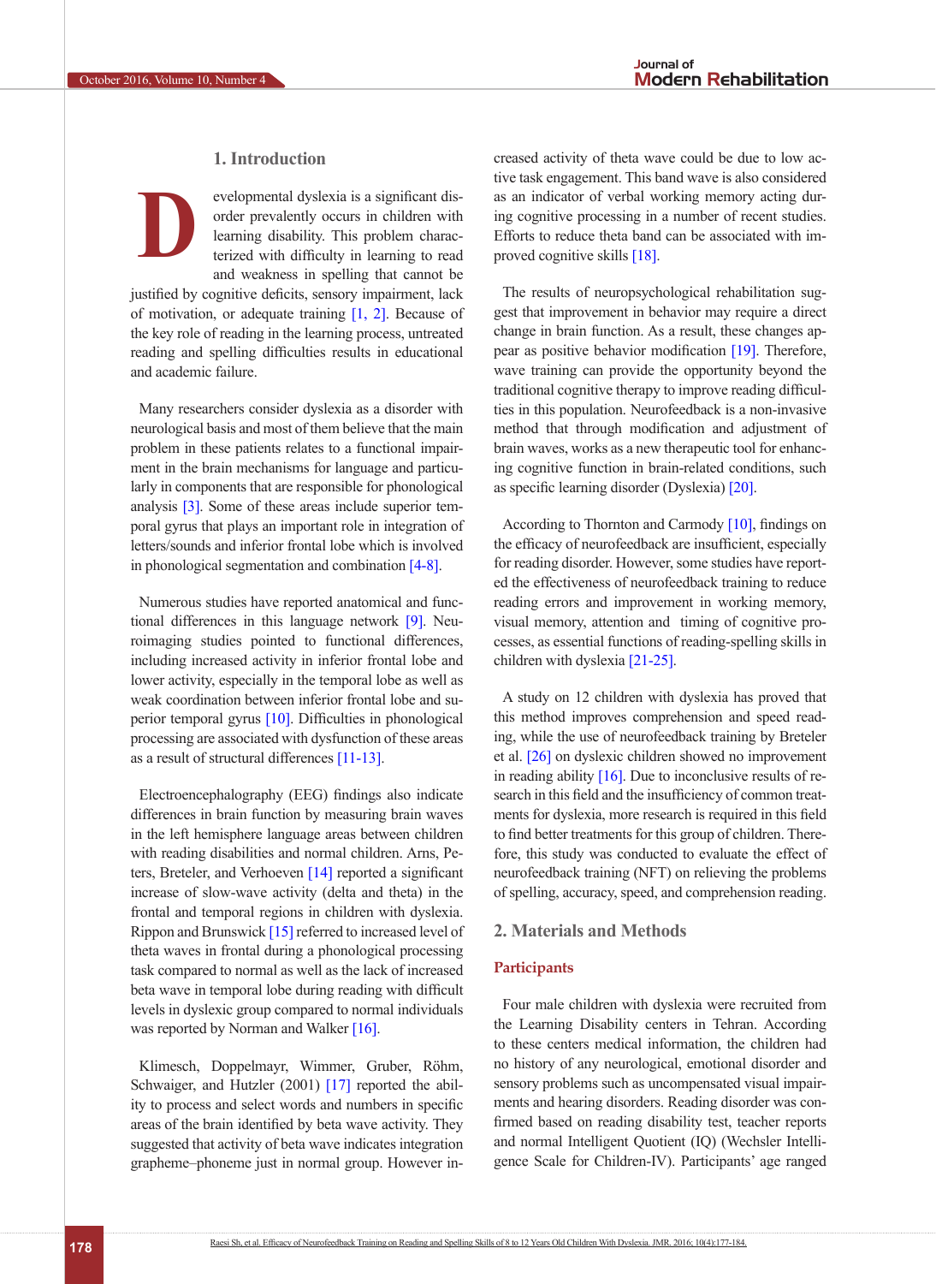# **1. Introduction**

evelopmental dyslexia is a significant disorder prevalently occurs in children with learning disability. This problem characterized with difficulty in learning to read and weakness in spelling that cannot be justified by cognitive deficits, sensory impairment, lack **D**

of motivation, or adequate training  $[1, 2]$  $[1, 2]$  $[1, 2]$ . Because of the key role of reading in the learning process, untreated reading and spelling difficulties results in educational and academic failure.

Many researchers consider dyslexia as a disorder with neurological basis and most of them believe that the main problem in these patients relates to a functional impairment in the brain mechanisms for language and particularly in components that are responsible for phonological analysis [\[3\]](#page-7-2). Some of these areas include superior temporal gyrus that plays an important role in integration of letters/sounds and inferior frontal lobe which is involved in phonological segmentation and combination [\[4-8\]](#page-7-3).

Numerous studies have reported anatomical and functional differences in this language network [\[9\].](#page-7-4) Neuroimaging studies pointed to functional differences, including increased activity in inferior frontal lobe and lower activity, especially in the temporal lobe as well as weak coordination between inferior frontal lobe and superior temporal gyrus [\[10\]](#page-7-5). Difficulties in phonological processing are associated with dysfunction of these areas as a result of structural differences [\[11-13\]](#page-7-6).

Electroencephalography (EEG) findings also indicate differences in brain function by measuring brain waves in the left hemisphere language areas between children with reading disabilities and normal children. Arns, Peters, Breteler, and Verhoeven [\[14\]](#page-7-0) reported a significant increase of slow-wave activity (delta and theta) in the frontal and temporal regions in children with dyslexia. Rippon and Brunswick [\[15\]](#page-8-0) referred to increased level of theta waves in frontal during a phonological processing task compared to normal as well as the lack of increased beta wave in temporal lobe during reading with difficult levels in dyslexic group compared to normal individuals was reported by Norman and Walker  $[16]$ .

Klimesch, Doppelmayr, Wimmer, Gruber, Röhm, Schwaiger, and Hutzler (2001) [17] reported the ability to process and select words and numbers in specific areas of the brain identified by beta wave activity. They suggested that activity of beta wave indicates integration grapheme–phoneme just in normal group. However increased activity of theta wave could be due to low active task engagement. This band wave is also considered as an indicator of verbal working memory acting during cognitive processing in a number of recent studies. Efforts to reduce theta band can be associated with improved cognitive skills [\[18\]](#page-8-2).

The results of neuropsychological rehabilitation suggest that improvement in behavior may require a direct change in brain function. As a result, these changes appear as positive behavior modification [\[19\]](#page-8-3). Therefore, wave training can provide the opportunity beyond the traditional cognitive therapy to improve reading difficulties in this population. Neurofeedback is a non-invasive method that through modification and adjustment of brain waves, works as a new therapeutic tool for enhancing cognitive function in brain-related conditions, such as specific learning disorder (Dyslexia) [\[20\]](#page-8-4).

According to Thornton and Carmody [\[10\]](#page-7-5), findings on the efficacy of neurofeedback are insufficient, especially for reading disorder. However, some studies have reported the effectiveness of neurofeedback training to reduce reading errors and improvement in working memory, visual memory, attention and timing of cognitive processes, as essential functions of reading-spelling skills in children with dyslexia [\[21-25\]](#page-8-5).

A study on 12 children with dyslexia has proved that this method improves comprehension and speed reading, while the use of neurofeedback training by Breteler et al. [\[26\]](#page-8-6) on dyslexic children showed no improvement in reading ability [\[16\]](#page-8-1). Due to inconclusive results of research in this field and the insufficiency of common treatments for dyslexia, more research is required in this field to find better treatments for this group of children. Therefore, this study was conducted to evaluate the effect of neurofeedback training (NFT) on relieving the problems of spelling, accuracy, speed, and comprehension reading.

# **2. Materials and Methods**

# **Participants**

Four male children with dyslexia were recruited from the Learning Disability centers in Tehran. According to these centers medical information, the children had no history of any neurological, emotional disorder and sensory problems such as uncompensated visual impairments and hearing disorders. Reading disorder was confirmed based on reading disability test, teacher reports and normal Intelligent Quotient (IQ) (Wechsler Intelligence Scale for Children-IV). Participants' age ranged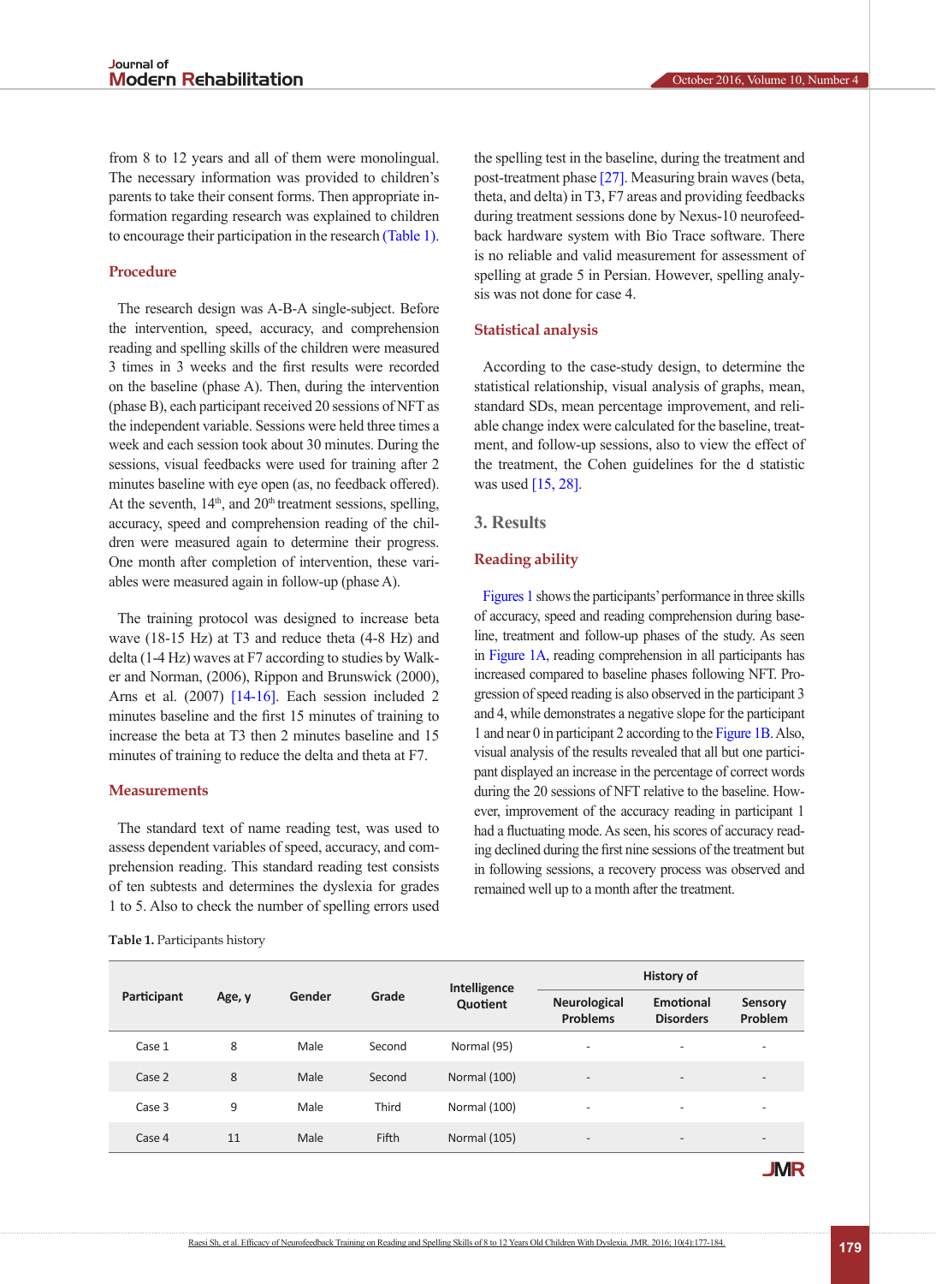from 8 to 12 years and all of them were monolingual. The necessary information was provided to children's parents to take their consent forms. Then appropriate information regarding research was explained to children to encourage their participation in the research [\(Table 1\)](#page-3-0).

# **Procedure**

The research design was A-B-A single-subject. Before the intervention, speed, accuracy, and comprehension reading and spelling skills of the children were measured 3 times in 3 weeks and the first results were recorded on the baseline (phase A). Then, during the intervention (phase B), each participant received 20 sessions of NFT as the independent variable. Sessions were held three times a week and each session took about 30 minutes. During the sessions, visual feedbacks were used for training after 2 minutes baseline with eye open (as, no feedback offered). At the seventh,  $14<sup>th</sup>$ , and  $20<sup>th</sup>$  treatment sessions, spelling, accuracy, speed and comprehension reading of the children were measured again to determine their progress. One month after completion of intervention, these variables were measured again in follow-up (phase A).

The training protocol was designed to increase beta wave (18-15 Hz) at T3 and reduce theta (4-8 Hz) and delta (1-4 Hz) waves at F7 according to studies by Walker and Norman, (2006), Rippon and Brunswick (2000), Arns et al. (2007) [\[14-16\].](#page-7-0) Each session included 2 minutes baseline and the first 15 minutes of training to increase the beta at T3 then 2 minutes baseline and 15 minutes of training to reduce the delta and theta at F7.

#### **Measurements**

The standard text of name reading test, was used to assess dependent variables of speed, accuracy, and comprehension reading. This standard reading test consists of ten subtests and determines the dyslexia for grades 1 to 5. Also to check the number of spelling errors used

<span id="page-3-0"></span>**Table 1.** Participants history

the spelling test in the baseline, during the treatment and post-treatment phase [\[27\].](#page-8-7) Measuring brain waves (beta, theta, and delta) in T3, F7 areas and providing feedbacks during treatment sessions done by Nexus-10 neurofeedback hardware system with Bio Trace software. There is no reliable and valid measurement for assessment of spelling at grade 5 in Persian. However, spelling analysis was not done for case 4.

## **Statistical analysis**

According to the case-study design, to determine the statistical relationship, visual analysis of graphs, mean, standard SDs, mean percentage improvement, and reliable change index were calculated for the baseline, treatment, and follow-up sessions, also to view the effect of the treatment, the Cohen guidelines for the d statistic was used [\[15,](#page-8-0) [28\]](#page-8-8).

# **3. Results**

#### **Reading ability**

[Figures 1](#page-4-0) shows the participants' performance in three skills of accuracy, speed and reading comprehension during baseline, treatment and follow-up phases of the study. As seen in [Figure 1A](#page-4-0), reading comprehension in all participants has increased compared to baseline phases following NFT. Progression of speed reading is also observed in the participant 3 and 4, while demonstrates a negative slope for the participant 1 and near 0 in participant 2 according to th[e Figure 1B](#page-4-0). Also, visual analysis of the results revealed that all but one participant displayed an increase in the percentage of correct words during the 20 sessions of NFT relative to the baseline. However, improvement of the accuracy reading in participant 1 had a fluctuating mode. As seen, his scores of accuracy reading declined during the first nine sessions of the treatment but in following sessions, a recovery process was observed and remained well up to a month after the treatment.

| Participant |        |        |        | Intelligence |                                        | <b>History of</b>             |                           |  |
|-------------|--------|--------|--------|--------------|----------------------------------------|-------------------------------|---------------------------|--|
|             | Age, y | Gender | Grade  | Quotient     | <b>Neurological</b><br><b>Problems</b> | Emotional<br><b>Disorders</b> | <b>Sensory</b><br>Problem |  |
| Case 1      | 8      | Male   | Second | Normal (95)  | $\overline{\phantom{a}}$               | $\qquad \qquad -$             | $\overline{\phantom{a}}$  |  |
| Case 2      | 8      | Male   | Second | Normal (100) | $\overline{\phantom{a}}$               | $\overline{\phantom{a}}$      | $\overline{\phantom{a}}$  |  |
| Case 3      | 9      | Male   | Third  | Normal (100) | $\overline{\phantom{a}}$               | $\qquad \qquad -$             | $\overline{\phantom{a}}$  |  |
| Case 4      | 11     | Male   | Fifth  | Normal (105) | $\overline{\phantom{a}}$               | $\overline{\phantom{a}}$      | $\overline{\phantom{a}}$  |  |

**JMR**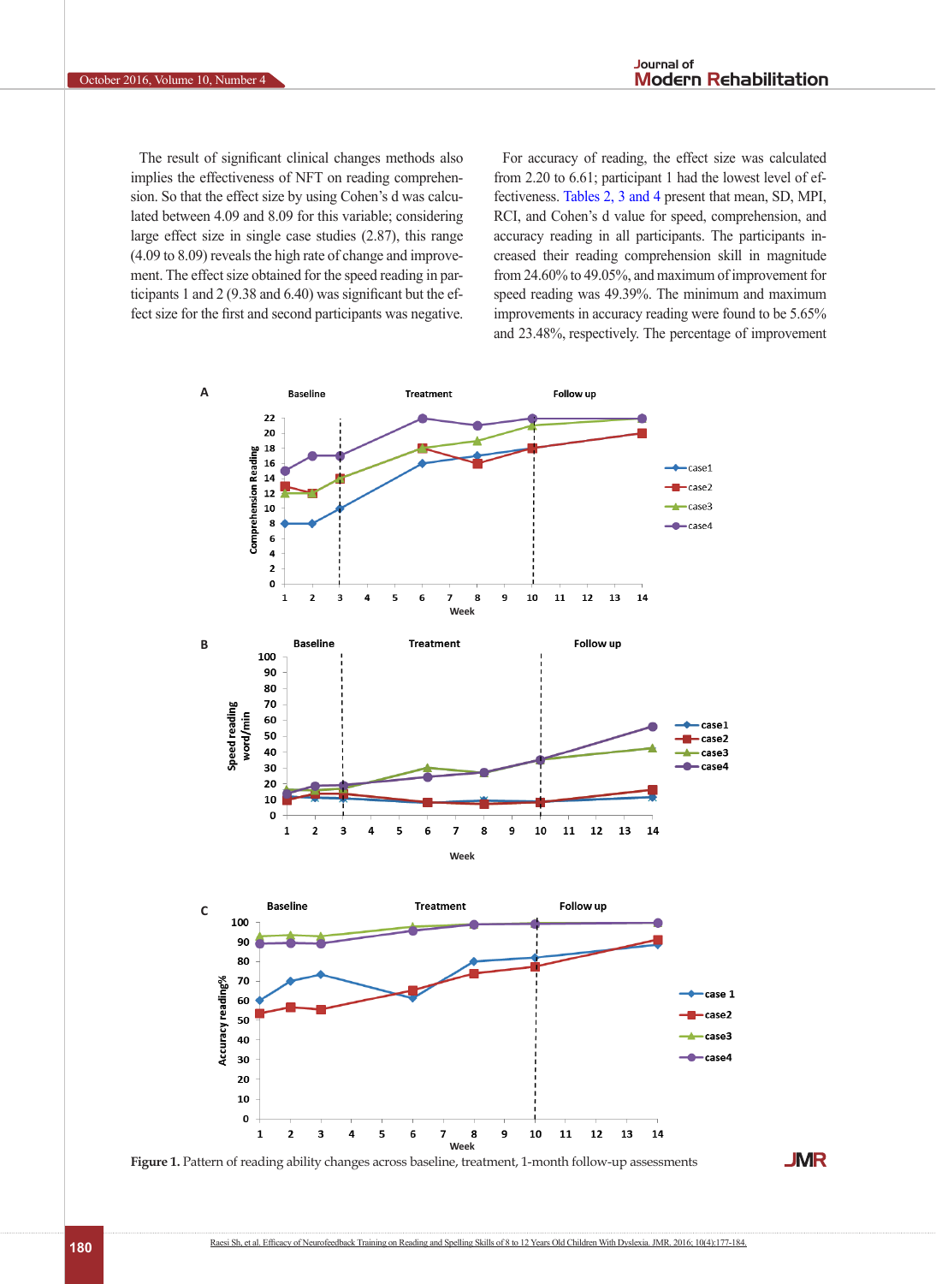The result of significant clinical changes methods also implies the effectiveness of NFT on reading comprehension. So that the effect size by using Cohen's d was calculated between 4.09 and 8.09 for this variable; considering large effect size in single case studies (2.87), this range (4.09 to 8.09) reveals the high rate of change and improvement. The effect size obtained for the speed reading in participants 1 and 2 (9.38 and 6.40) was significant but the effect size for the first and second participants was negative.

For accuracy of reading, the effect size was calculated from 2.20 to 6.61; participant 1 had the lowest level of effectiveness. [Tables 2](#page-5-0), [3](#page-5-1) [and 4](#page-6-0) present that mean, SD, MPI, RCI, and Cohen's d value for speed, comprehension, and accuracy reading in all participants. The participants increased their reading comprehension skill in magnitude from 24.60% to 49.05%, and maximum of improvement for speed reading was 49.39%. The minimum and maximum improvements in accuracy reading were found to be 5.65% and 23.48%, respectively. The percentage of improvement



<span id="page-4-0"></span>**Figure 1.** Pattern of reading ability changes across baseline, treatment, 1-month follow-up assessments

**JMR**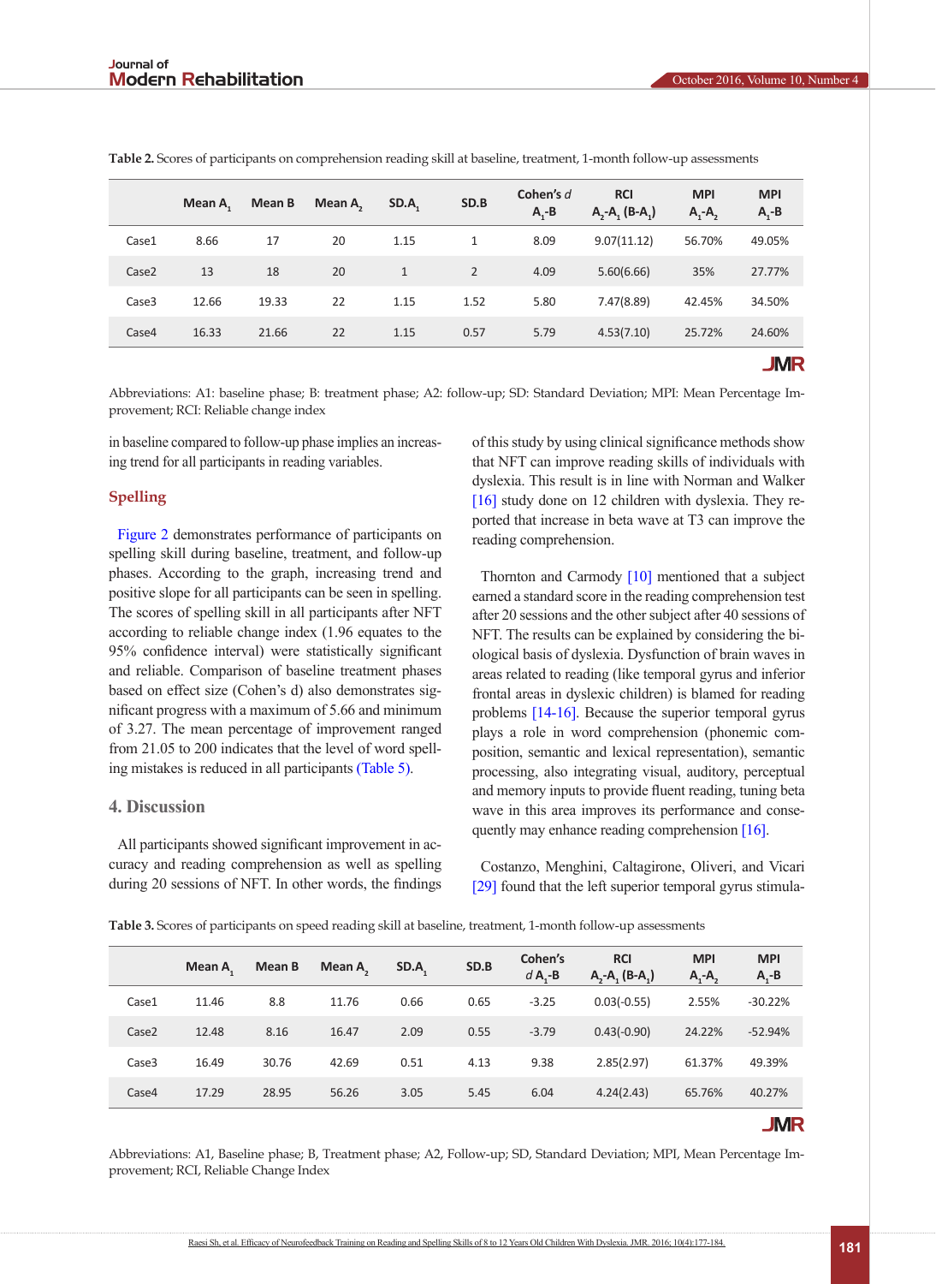|                   | Mean A. | Mean B | Mean A <sub>2</sub> | SD.A.        | SD.B | Cohen's d<br>$A - B$ | <b>RCI</b><br>$A, -A, (B-A)$ | <b>MPI</b><br>$A_1 - A_2$ | <b>MPI</b><br>$A_1 - B$ |
|-------------------|---------|--------|---------------------|--------------|------|----------------------|------------------------------|---------------------------|-------------------------|
| Case1             | 8.66    | 17     | 20                  | 1.15         | 1    | 8.09                 | 9.07(11.12)                  | 56.70%                    | 49.05%                  |
| Case <sub>2</sub> | 13      | 18     | 20                  | $\mathbf{1}$ | 2    | 4.09                 | 5.60(6.66)                   | 35%                       | 27.77%                  |
| Case3             | 12.66   | 19.33  | 22                  | 1.15         | 1.52 | 5.80                 | 7.47(8.89)                   | 42.45%                    | 34.50%                  |
| Case4             | 16.33   | 21.66  | 22                  | 1.15         | 0.57 | 5.79                 | 4.53(7.10)                   | 25.72%                    | 24.60%                  |
|                   |         |        |                     |              |      |                      |                              |                           | <b>JMR</b>              |

<span id="page-5-0"></span>**Table 2.** Scores of participants on comprehension reading skill at baseline, treatment, 1-month follow-up assessments

Abbreviations: A1: baseline phase; B: treatment phase; A2: follow-up; SD: Standard Deviation; MPI: Mean Percentage Improvement; RCI: Reliable change index

in baseline compared to follow-up phase implies an increasing trend for all participants in reading variables.

# **Spelling**

[Figure 2](#page-6-1) demonstrates performance of participants on spelling skill during baseline, treatment, and follow-up phases. According to the graph, increasing trend and positive slope for all participants can be seen in spelling. The scores of spelling skill in all participants after NFT according to reliable change index (1.96 equates to the 95% confidence interval) were statistically significant and reliable. Comparison of baseline treatment phases based on effect size (Cohen's d) also demonstrates significant progress with a maximum of 5.66 and minimum of 3.27. The mean percentage of improvement ranged from 21.05 to 200 indicates that the level of word spelling mistakes is reduced in all participants [\(Table 5\)](#page-6-2).

# **4. Discussion**

All participants showed significant improvement in accuracy and reading comprehension as well as spelling during 20 sessions of NFT. In other words, the findings of this study by using clinical significance methods show that NFT can improve reading skills of individuals with dyslexia. This result is in line with Norman and Walker [\[16\]](#page-8-1) study done on 12 children with dyslexia. They reported that increase in beta wave at T3 can improve the reading comprehension.

Thornton and Carmody [\[10\]](#page-7-5) mentioned that a subject earned a standard score in the reading comprehension test after 20 sessions and the other subject after 40 sessions of NFT. The results can be explained by considering the biological basis of dyslexia. Dysfunction of brain waves in areas related to reading (like temporal gyrus and inferior frontal areas in dyslexic children) is blamed for reading problems [\[14-16\]](#page-7-0). Because the superior temporal gyrus plays a role in word comprehension (phonemic composition, semantic and lexical representation), semantic processing, also integrating visual, auditory, perceptual and memory inputs to provide fluent reading, tuning beta wave in this area improves its performance and consequently may enhance reading comprehension [\[16\]](#page-8-1).

Costanzo, Menghini, Caltagirone, Oliveri, and Vicari [\[29\]](#page-8-9) found that the left superior temporal gyrus stimula-

<span id="page-5-1"></span>

|  |  |  |  | <b>Table 3.</b> Scores of participants on speed reading skill at baseline, treatment, 1-month follow-up assessments |
|--|--|--|--|---------------------------------------------------------------------------------------------------------------------|
|--|--|--|--|---------------------------------------------------------------------------------------------------------------------|

|                   | Mean A | Mean B | Mean A <sub>2</sub> | SD.A. | SD.B | Cohen's<br>$d$ A $-B$ | <b>RCI</b><br>$A, -A, (B-A)$ | <b>MPI</b><br>$A_1 - A_2$ | <b>MPI</b><br>$A - B$ |
|-------------------|--------|--------|---------------------|-------|------|-----------------------|------------------------------|---------------------------|-----------------------|
| Case1             | 11.46  | 8.8    | 11.76               | 0.66  | 0.65 | $-3.25$               | $0.03(-0.55)$                | 2.55%                     | $-30.22%$             |
| Case <sub>2</sub> | 12.48  | 8.16   | 16.47               | 2.09  | 0.55 | $-3.79$               | $0.43(-0.90)$                | 24.22%                    | $-52.94%$             |
| Case3             | 16.49  | 30.76  | 42.69               | 0.51  | 4.13 | 9.38                  | 2.85(2.97)                   | 61.37%                    | 49.39%                |
| Case4             | 17.29  | 28.95  | 56.26               | 3.05  | 5.45 | 6.04                  | 4.24(2.43)                   | 65.76%                    | 40.27%                |

**JMR** 

Abbreviations: A1, Baseline phase; B, Treatment phase; A2, Follow-up; SD, Standard Deviation; MPI, Mean Percentage Improvement; RCI, Reliable Change Index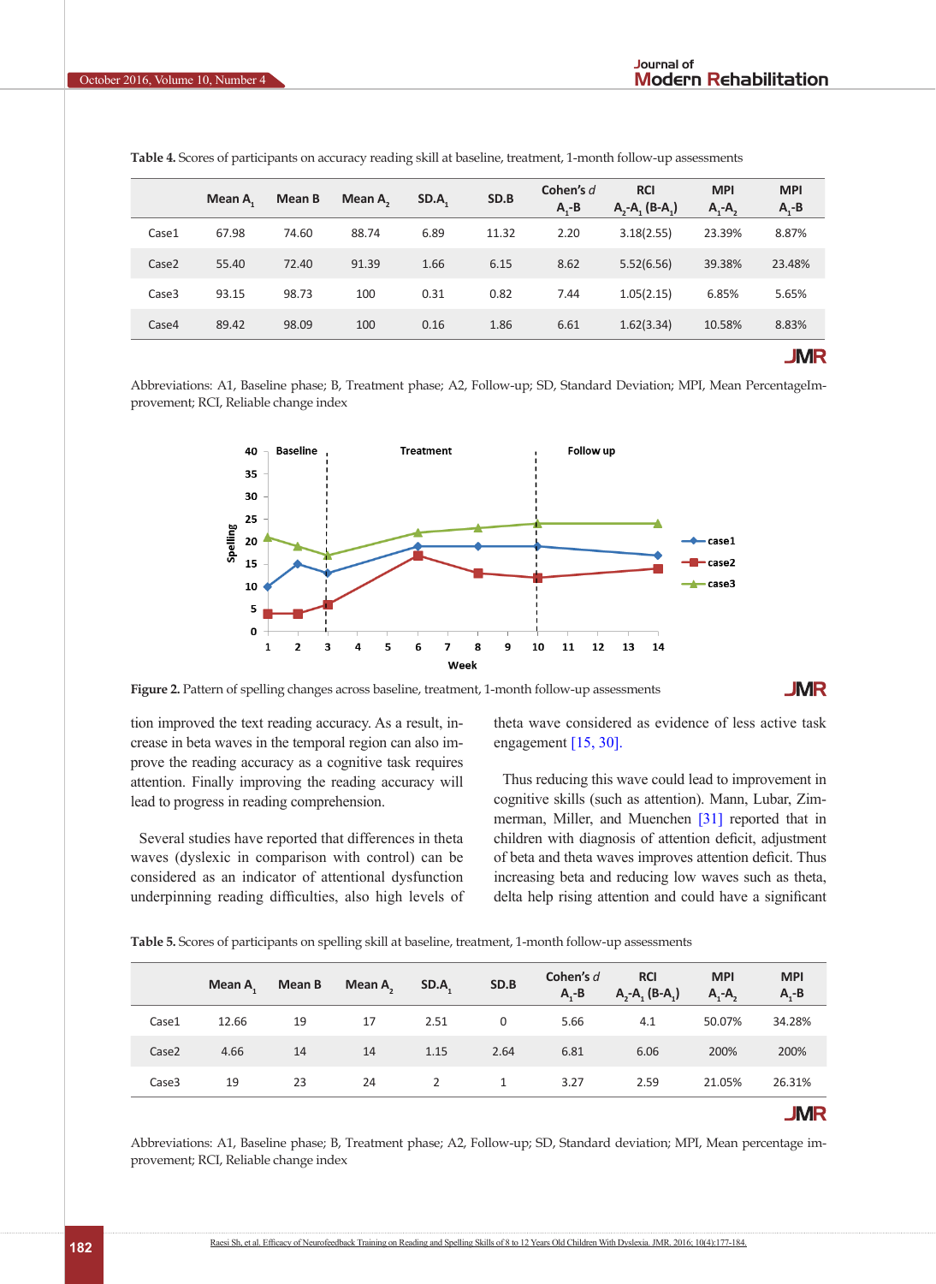|                   | Mean A | Mean B | Mean $A_n$ | SD.A. | SD.B  | Cohen's d<br>$A - B$ | <b>RCI</b><br>$A, -A, (B-A)$ | <b>MPI</b><br>$A_1 - A_2$ | <b>MPI</b><br>$A_1 - B$ |
|-------------------|--------|--------|------------|-------|-------|----------------------|------------------------------|---------------------------|-------------------------|
| Case1             | 67.98  | 74.60  | 88.74      | 6.89  | 11.32 | 2.20                 | 3.18(2.55)                   | 23.39%                    | 8.87%                   |
| Case <sub>2</sub> | 55.40  | 72.40  | 91.39      | 1.66  | 6.15  | 8.62                 | 5.52(6.56)                   | 39.38%                    | 23.48%                  |
| Case3             | 93.15  | 98.73  | 100        | 0.31  | 0.82  | 7.44                 | 1.05(2.15)                   | 6.85%                     | 5.65%                   |
| Case4             | 89.42  | 98.09  | 100        | 0.16  | 1.86  | 6.61                 | 1.62(3.34)                   | 10.58%                    | 8.83%                   |
|                   |        |        |            |       |       |                      |                              |                           | <b>JMR</b>              |

<span id="page-6-0"></span>**Table 4.** Scores of participants on accuracy reading skill at baseline, treatment, 1-month follow-up assessments

Abbreviations: A1, Baseline phase; B, Treatment phase; A2, Follow-up; SD, Standard Deviation; MPI, Mean PercentageImprovement; RCI, Reliable change index



<span id="page-6-1"></span>Figure 2. Pattern of spelling changes across baseline, treatment, 1-month follow-up assessments

**JMR** 

tion improved the text reading accuracy. As a result, increase in beta waves in the temporal region can also improve the reading accuracy as a cognitive task requires attention. Finally improving the reading accuracy will lead to progress in reading comprehension.

Several studies have reported that differences in theta waves (dyslexic in comparison with control) can be considered as an indicator of attentional dysfunction underpinning reading difficulties, also high levels of theta wave considered as evidence of less active task engagement [\[15,](#page-8-0) [30\]](#page-8-10).

Thus reducing this wave could lead to improvement in cognitive skills (such as attention). Mann, Lubar, Zimmerman, Miller, and Muenchen [\[31\]](#page-8-11) reported that in children with diagnosis of attention deficit, adjustment of beta and theta waves improves attention deficit. Thus increasing beta and reducing low waves such as theta, delta help rising attention and could have a significant

<span id="page-6-2"></span>**Table 5.** Scores of participants on spelling skill at baseline, treatment, 1-month follow-up assessments

|       | Mean A | Mean B | Mean A <sub>2</sub> | SD.A <sub>1</sub> | SD.B | Cohen's d<br>$A - B$ | <b>RCI</b><br>$A, -A, (B-A)$ | <b>MPI</b><br>$A, -A,$ | <b>MPI</b><br>$A - B$ |
|-------|--------|--------|---------------------|-------------------|------|----------------------|------------------------------|------------------------|-----------------------|
| Case1 | 12.66  | 19     | 17                  | 2.51              | 0    | 5.66                 | 4.1                          | 50.07%                 | 34.28%                |
| Case2 | 4.66   | 14     | 14                  | 1.15              | 2.64 | 6.81                 | 6.06                         | 200%                   | 200%                  |
| Case3 | 19     | 23     | 24                  | 2                 | 1    | 3.27                 | 2.59                         | 21.05%                 | 26.31%                |
|       |        |        |                     |                   |      |                      |                              |                        | <b>JMR</b>            |

Abbreviations: A1, Baseline phase; B, Treatment phase; A2, Follow-up; SD, Standard deviation; MPI, Mean percentage improvement; RCI, Reliable change index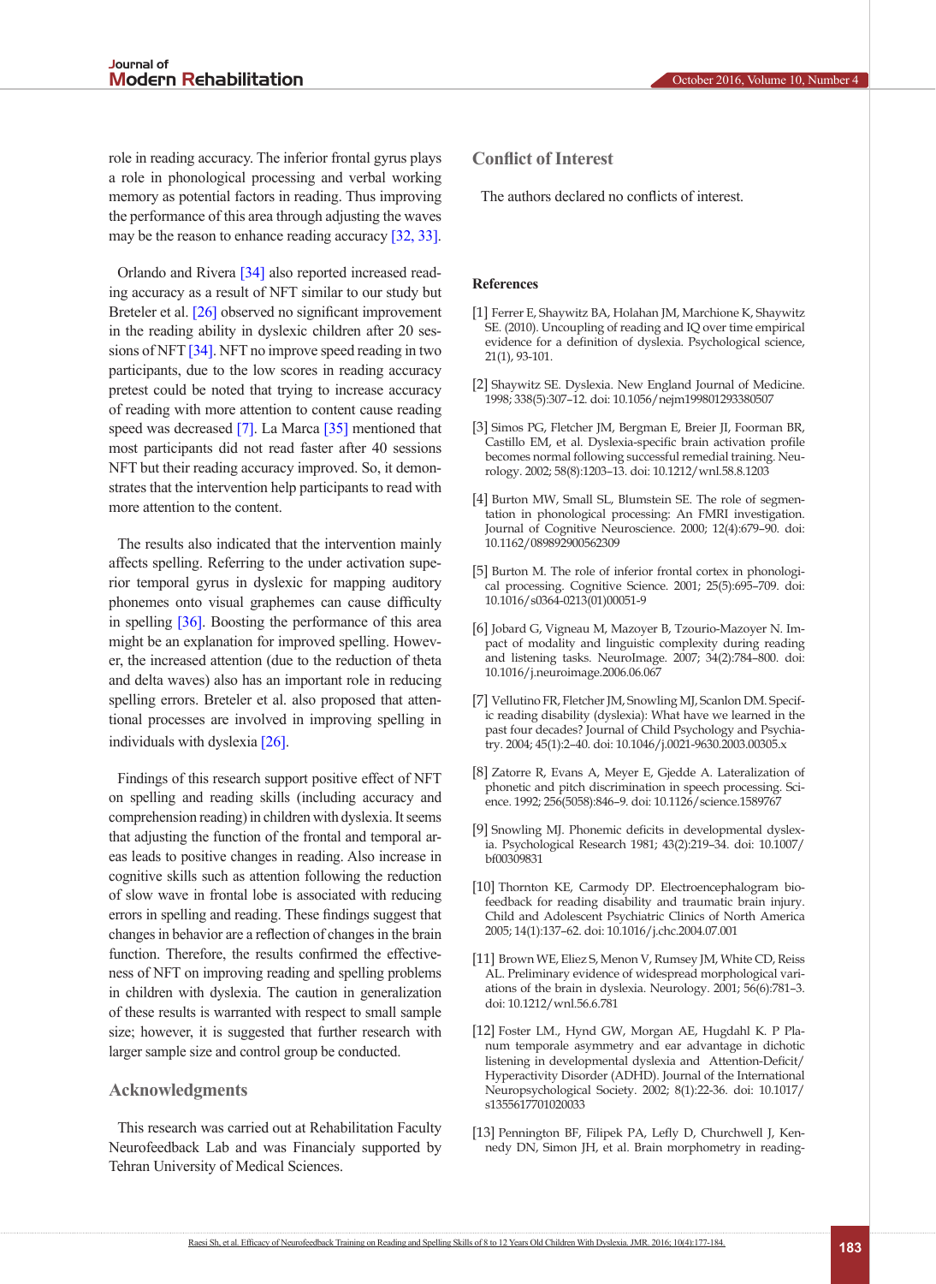role in reading accuracy. The inferior frontal gyrus plays a role in phonological processing and verbal working memory as potential factors in reading. Thus improving the performance of this area through adjusting the waves may be the reason to enhance reading accuracy [\[32,](#page-8-12) [33\]](#page-8-13).

[Orlando](http://www.tandfonline.com/author/Orlando%2C+Peter+C) and Rivera [\[34\]](#page-8-14) also reported increased reading accuracy as a result of NFT similar to our study but Breteler et al. [\[26\]](#page-8-6) observed no significant improvement in the reading ability in dyslexic children after 20 sessions of NFT  $\left[34\right]$ . NFT no improve speed reading in two participants, due to the low scores in reading accuracy pretest could be noted that trying to increase accuracy of reading with more attention to content cause reading speed was decreased [\[7\]](#page-7-7). La Marca [\[35\]](#page-8-15) mentioned that most participants did not read faster after 40 sessions NFT but their reading accuracy improved. So, it demonstrates that the intervention help participants to read with more attention to the content.

The results also indicated that the intervention mainly affects spelling. Referring to the under activation superior temporal gyrus in dyslexic for mapping auditory phonemes onto visual graphemes can cause difficulty in spelling [\[36\]](#page-8-16). Boosting the performance of this area might be an explanation for improved spelling. However, the increased attention (due to the reduction of theta and delta waves) also has an important role in reducing spelling errors. Breteler et al. also proposed that attentional processes are involved in improving spelling in individuals with dyslexia [\[26\]](#page-8-6).

Findings of this research support positive effect of NFT on spelling and reading skills (including accuracy and comprehension reading) in children with dyslexia. It seems that adjusting the function of the frontal and temporal areas leads to positive changes in reading. Also increase in cognitive skills such as attention following the reduction of slow wave in frontal lobe is associated with reducing errors in spelling and reading. These findings suggest that changes in behavior are a reflection of changes in the brain function. Therefore, the results confirmed the effectiveness of NFT on improving reading and spelling problems in children with dyslexia. The caution in generalization of these results is warranted with respect to small sample size; however, it is suggested that further research with larger sample size and control group be conducted.

# **Acknowledgments**

This research was carried out at Rehabilitation Faculty Neurofeedback Lab and was Financialy supported by Tehran University of Medical Sciences.

# **Conflict of Interest**

The authors declared no conflicts of interest.

### **References**

- <span id="page-7-0"></span>[1] Ferrer E, Shaywitz BA, Holahan JM, Marchione K, Shaywitz SE. (2010). Uncoupling of reading and IQ over time empirical evidence for a definition of dyslexia. Psychological science, 21(1), 93-101.
- <span id="page-7-1"></span>[2] Shaywitz SE. Dyslexia. New England Journal of Medicine. 1998; 338(5):307–12. doi: 10.1056/nejm199801293380507
- <span id="page-7-2"></span>[3] Simos PG, Fletcher JM, Bergman E, Breier JI, Foorman BR, Castillo EM, et al. Dyslexia-specific brain activation profile becomes normal following successful remedial training. Neurology. 2002; 58(8):1203–13. doi: 10.1212/wnl.58.8.1203
- <span id="page-7-3"></span>[4] Burton MW, Small SL, Blumstein SE. The role of segmentation in phonological processing: An FMRI investigation. Journal of Cognitive Neuroscience. 2000; 12(4):679–90. doi: 10.1162/089892900562309
- [5] Burton M. The role of inferior frontal cortex in phonological processing. Cognitive Science. 2001; 25(5):695–709. doi: 10.1016/s0364-0213(01)00051-9
- [6] Jobard G, Vigneau M, Mazoyer B, Tzourio-Mazoyer N. Impact of modality and linguistic complexity during reading and listening tasks. NeuroImage. 2007; 34(2):784–800. doi: 10.1016/j.neuroimage.2006.06.067
- <span id="page-7-7"></span>[7] Vellutino FR, Fletcher JM, Snowling MJ, Scanlon DM. Specific reading disability (dyslexia): What have we learned in the past four decades? Journal of Child Psychology and Psychiatry. 2004; 45(1):2–40. doi: 10.1046/j.0021-9630.2003.00305.x
- [8] Zatorre R, Evans A, Meyer E, Gjedde A. Lateralization of phonetic and pitch discrimination in speech processing. Science. 1992; 256(5058):846–9. doi: 10.1126/science.1589767
- <span id="page-7-4"></span>[9] Snowling MJ. Phonemic deficits in developmental dyslexia. Psychological Research 1981; 43(2):219–34. doi: 10.1007/ bf00309831
- <span id="page-7-5"></span>[10] Thornton KE, Carmody DP. Electroencephalogram biofeedback for reading disability and traumatic brain injury. Child and Adolescent Psychiatric Clinics of North America 2005; 14(1):137–62. doi: 10.1016/j.chc.2004.07.001
- <span id="page-7-6"></span>[11] Brown WE, Eliez S, Menon V, Rumsey JM, White CD, Reiss AL. Preliminary evidence of widespread morphological variations of the brain in dyslexia. Neurology. 2001; 56(6):781–3. doi: 10.1212/wnl.56.6.781
- [12] Foster LM., Hynd GW, Morgan AE, Hugdahl K. P Planum temporale asymmetry and ear advantage in dichotic listening in developmental dyslexia and Attention-Deficit/ Hyperactivity Disorder (ADHD). Journal of the International Neuropsychological Society. 2002; 8(1):22-36. doi: 10.1017/ s1355617701020033
- [13] Pennington BF, Filipek PA, Lefly D, Churchwell J, Kennedy DN, Simon JH, et al. Brain morphometry in reading-